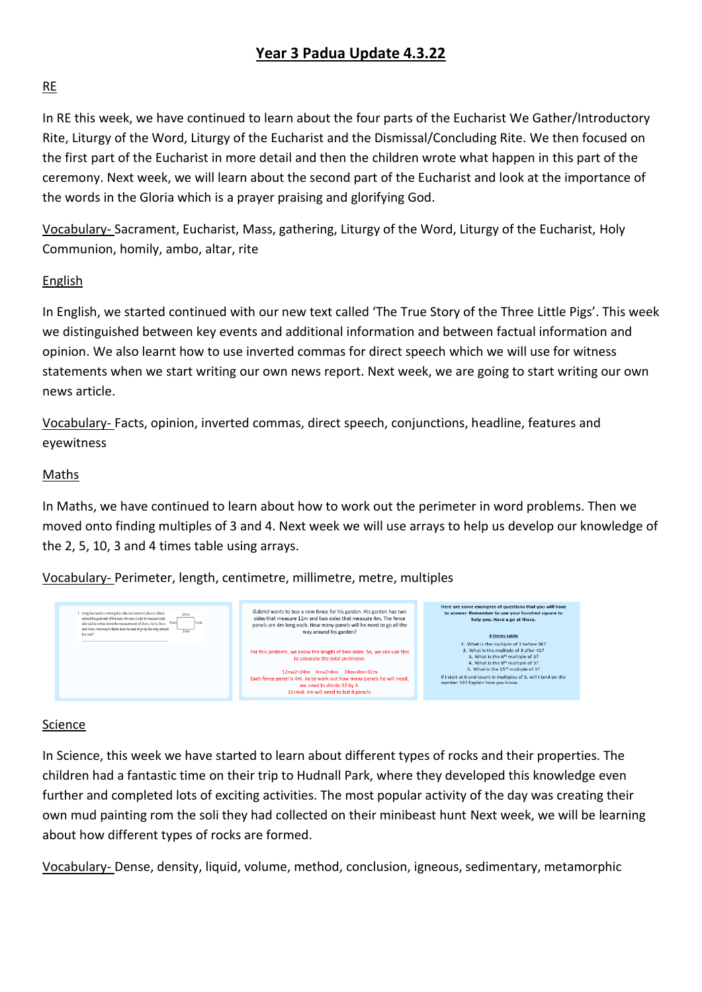## **Year 3 Padua Update 4.3.22**

#### RE

In RE this week, we have continued to learn about the four parts of the Eucharist We Gather/Introductory Rite, Liturgy of the Word, Liturgy of the Eucharist and the Dismissal/Concluding Rite. We then focused on the first part of the Eucharist in more detail and then the children wrote what happen in this part of the ceremony. Next week, we will learn about the second part of the Eucharist and look at the importance of the words in the Gloria which is a prayer praising and glorifying God.

Vocabulary- Sacrament, Eucharist, Mass, gathering, Liturgy of the Word, Liturgy of the Eucharist, Holy Communion, homily, ambo, altar, rite

#### English

In English, we started continued with our new text called 'The True Story of the Three Little Pigs'. This week we distinguished between key events and additional information and between factual information and opinion. We also learnt how to use inverted commas for direct speech which we will use for witness statements when we start writing our own news report. Next week, we are going to start writing our own news article.

Vocabulary- Facts, opinion, inverted commas, direct speech, conjunctions, headline, features and eyewitness

#### Maths

In Maths, we have continued to learn about how to work out the perimeter in word problems. Then we moved onto finding multiples of 3 and 4. Next week we will use arrays to help us develop our knowledge of the 2, 5, 10, 3 and 4 times table using arrays.

Vocabulary- Perimeter, length, centimetre, millimetre, metre, multiples



#### Science

In Science, this week we have started to learn about different types of rocks and their properties. The children had a fantastic time on their trip to Hudnall Park, where they developed this knowledge even further and completed lots of exciting activities. The most popular activity of the day was creating their own mud painting rom the soli they had collected on their minibeast hunt Next week, we will be learning about how different types of rocks are formed.

Vocabulary- Dense, density, liquid, volume, method, conclusion, igneous, sedimentary, metamorphic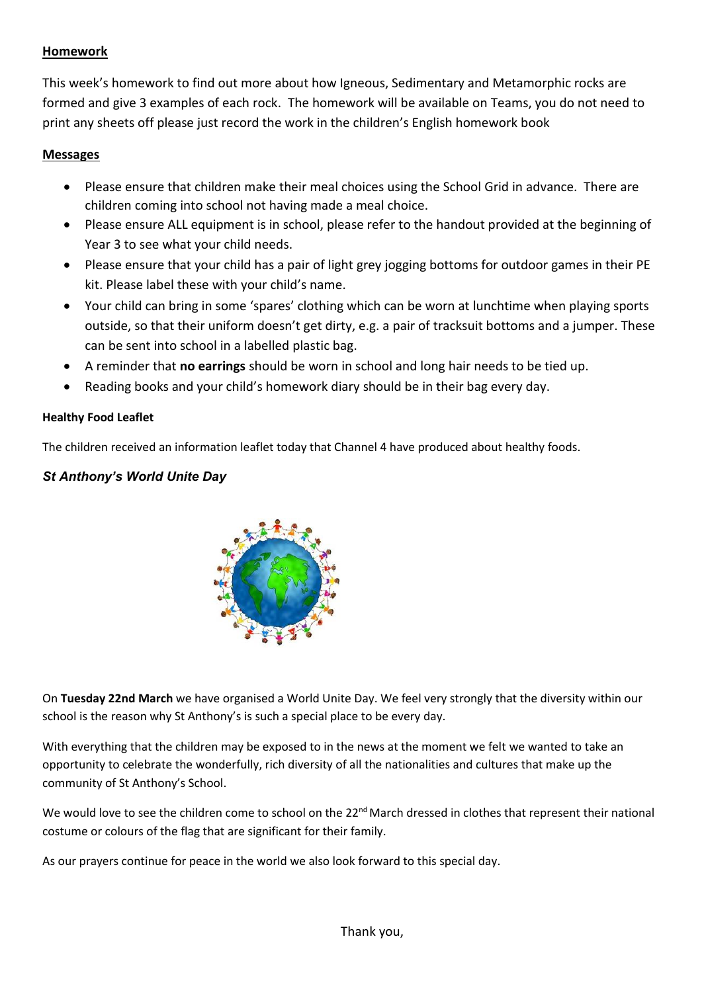## **Homework**

This week's homework to find out more about how Igneous, Sedimentary and Metamorphic rocks are formed and give 3 examples of each rock. The homework will be available on Teams, you do not need to print any sheets off please just record the work in the children's English homework book

#### **Messages**

- Please ensure that children make their meal choices using the School Grid in advance. There are children coming into school not having made a meal choice.
- Please ensure ALL equipment is in school, please refer to the handout provided at the beginning of Year 3 to see what your child needs.
- Please ensure that your child has a pair of light grey jogging bottoms for outdoor games in their PE kit. Please label these with your child's name.
- Your child can bring in some 'spares' clothing which can be worn at lunchtime when playing sports outside, so that their uniform doesn't get dirty, e.g. a pair of tracksuit bottoms and a jumper. These can be sent into school in a labelled plastic bag.
- A reminder that **no earrings** should be worn in school and long hair needs to be tied up.
- Reading books and your child's homework diary should be in their bag every day.

#### **Healthy Food Leaflet**

The children received an information leaflet today that Channel 4 have produced about healthy foods.

## *St Anthony's World Unite Day*



On **Tuesday 22nd March** we have organised a World Unite Day. We feel very strongly that the diversity within our school is the reason why St Anthony's is such a special place to be every day.

With everything that the children may be exposed to in the news at the moment we felt we wanted to take an opportunity to celebrate the wonderfully, rich diversity of all the nationalities and cultures that make up the community of St Anthony's School.

We would love to see the children come to school on the  $22^{nd}$  March dressed in clothes that represent their national costume or colours of the flag that are significant for their family.

As our prayers continue for peace in the world we also look forward to this special day.